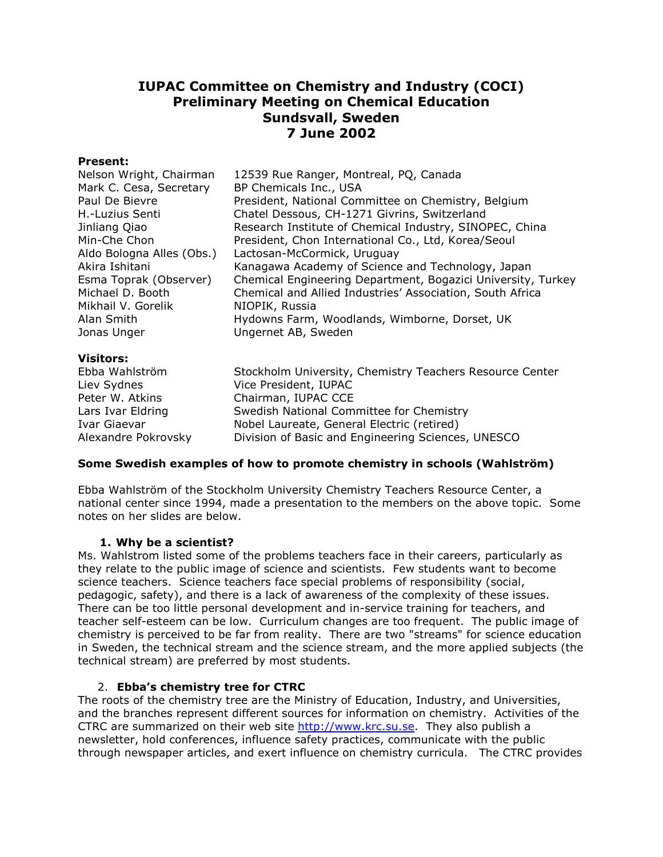# **IUPAC Committee on Chemistry and Industry (COCI) Preliminary Meeting on Chemical Education Sundsvall, Sweden 7 June 2002**

## **Present:**

| Nelson Wright, Chairman   | 12539 Rue Ranger, Montreal, PQ, Canada                       |
|---------------------------|--------------------------------------------------------------|
| Mark C. Cesa, Secretary   | BP Chemicals Inc., USA                                       |
| Paul De Bievre            | President, National Committee on Chemistry, Belgium          |
| H.-Luzius Senti           | Chatel Dessous, CH-1271 Givrins, Switzerland                 |
| Jinliang Qiao             | Research Institute of Chemical Industry, SINOPEC, China      |
| Min-Che Chon              | President, Chon International Co., Ltd, Korea/Seoul          |
| Aldo Bologna Alles (Obs.) | Lactosan-McCormick, Uruguay                                  |
| Akira Ishitani            | Kanagawa Academy of Science and Technology, Japan            |
| Esma Toprak (Observer)    | Chemical Engineering Department, Bogazici University, Turkey |
| Michael D. Booth          | Chemical and Allied Industries' Association, South Africa    |
| Mikhail V. Gorelik        | NIOPIK, Russia                                               |
| Alan Smith                | Hydowns Farm, Woodlands, Wimborne, Dorset, UK                |
| Jonas Unger               | Ungernet AB, Sweden                                          |
|                           |                                                              |

## **Visitors:**

Ebba Wahlström Stockholm University, Chemistry Teachers Resource Center Liev Sydnes Vice President, IUPAC Peter W. Atkins Chairman, IUPAC CCE Lars Ivar Eldring Swedish National Committee for Chemistry Ivar Giaevar Nobel Laureate, General Electric (retired) Alexandre Pokrovsky Division of Basic and Engineering Sciences, UNESCO

## **Some Swedish examples of how to promote chemistry in schools (Wahlström)**

Ebba Wahlström of the Stockholm University Chemistry Teachers Resource Center, a national center since 1994, made a presentation to the members on the above topic. Some notes on her slides are below.

## **1. Why be a scientist?**

Ms. Wahlstrom listed some of the problems teachers face in their careers, particularly as they relate to the public image of science and scientists. Few students want to become science teachers. Science teachers face special problems of responsibility (social, pedagogic, safety), and there is a lack of awareness of the complexity of these issues. There can be too little personal development and in-service training for teachers, and teacher self-esteem can be low. Curriculum changes are too frequent. The public image of chemistry is perceived to be far from reality. There are two "streams" for science education in Sweden, the technical stream and the science stream, and the more applied subjects (the technical stream) are preferred by most students.

# 2. **Ebba's chemistry tree for CTRC**

The roots of the chemistry tree are the Ministry of Education, Industry, and Universities, and the branches represent different sources for information on chemistry. Activities of the CTRC are summarized on their web site http://www.krc.su.se. They also publish a newsletter, hold conferences, influence safety practices, communicate with the public through newspaper articles, and exert influence on chemistry curricula. The CTRC provides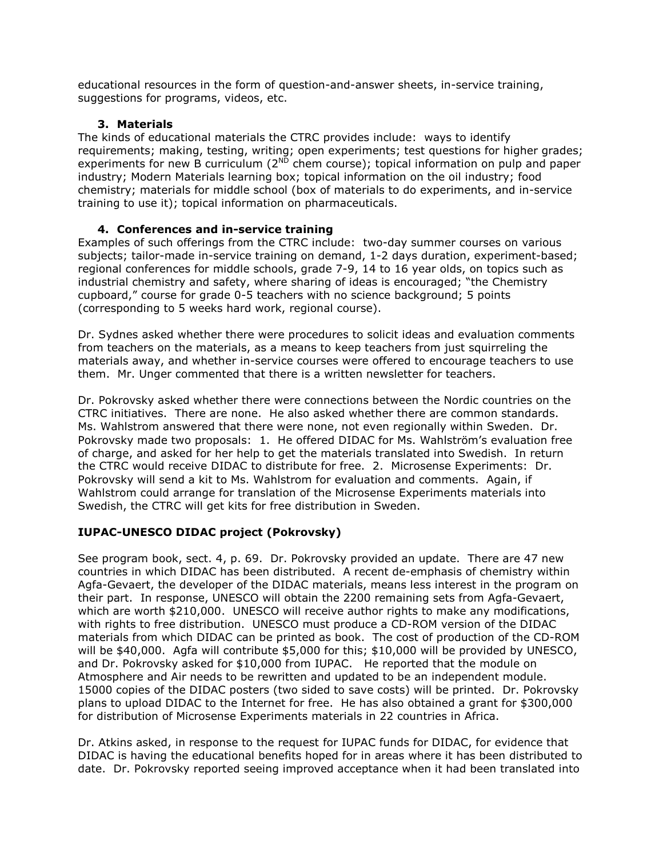educational resources in the form of question-and-answer sheets, in-service training, suggestions for programs, videos, etc.

## **3. Materials**

The kinds of educational materials the CTRC provides include: ways to identify requirements; making, testing, writing; open experiments; test questions for higher grades; experiments for new B curriculum ( $2^{ND}$  chem course); topical information on pulp and paper industry; Modern Materials learning box; topical information on the oil industry; food chemistry; materials for middle school (box of materials to do experiments, and in-service training to use it); topical information on pharmaceuticals.

# **4. Conferences and in-service training**

Examples of such offerings from the CTRC include: two-day summer courses on various subjects; tailor-made in-service training on demand, 1-2 days duration, experiment-based; regional conferences for middle schools, grade 7-9, 14 to 16 year olds, on topics such as industrial chemistry and safety, where sharing of ideas is encouraged; "the Chemistry cupboard," course for grade 0-5 teachers with no science background; 5 points (corresponding to 5 weeks hard work, regional course).

Dr. Sydnes asked whether there were procedures to solicit ideas and evaluation comments from teachers on the materials, as a means to keep teachers from just squirreling the materials away, and whether in-service courses were offered to encourage teachers to use them. Mr. Unger commented that there is a written newsletter for teachers.

Dr. Pokrovsky asked whether there were connections between the Nordic countries on the CTRC initiatives. There are none. He also asked whether there are common standards. Ms. Wahlstrom answered that there were none, not even regionally within Sweden. Dr. Pokrovsky made two proposals: 1. He offered DIDAC for Ms. Wahlström's evaluation free of charge, and asked for her help to get the materials translated into Swedish. In return the CTRC would receive DIDAC to distribute for free. 2. Microsense Experiments: Dr. Pokrovsky will send a kit to Ms. Wahlstrom for evaluation and comments. Again, if Wahlstrom could arrange for translation of the Microsense Experiments materials into Swedish, the CTRC will get kits for free distribution in Sweden.

# **IUPAC-UNESCO DIDAC project (Pokrovsky)**

See program book, sect. 4, p. 69. Dr. Pokrovsky provided an update. There are 47 new countries in which DIDAC has been distributed. A recent de-emphasis of chemistry within Agfa-Gevaert, the developer of the DIDAC materials, means less interest in the program on their part. In response, UNESCO will obtain the 2200 remaining sets from Agfa-Gevaert, which are worth \$210,000. UNESCO will receive author rights to make any modifications, with rights to free distribution. UNESCO must produce a CD-ROM version of the DIDAC materials from which DIDAC can be printed as book. The cost of production of the CD-ROM will be \$40,000. Agfa will contribute \$5,000 for this; \$10,000 will be provided by UNESCO, and Dr. Pokrovsky asked for \$10,000 from IUPAC. He reported that the module on Atmosphere and Air needs to be rewritten and updated to be an independent module. 15000 copies of the DIDAC posters (two sided to save costs) will be printed. Dr. Pokrovsky plans to upload DIDAC to the Internet for free. He has also obtained a grant for \$300,000 for distribution of Microsense Experiments materials in 22 countries in Africa.

Dr. Atkins asked, in response to the request for IUPAC funds for DIDAC, for evidence that DIDAC is having the educational benefits hoped for in areas where it has been distributed to date. Dr. Pokrovsky reported seeing improved acceptance when it had been translated into